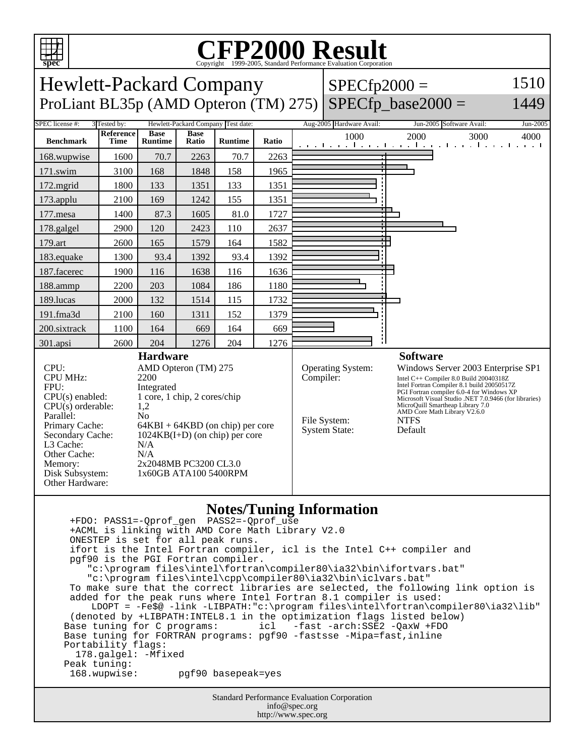

Standard Performance Evaluation Corporation info@spec.org +ACML is linking with AMD Core Math Library V2.0 ONESTEP is set for all peak runs. ifort is the Intel Fortran compiler, icl is the Intel C++ compiler and pgf90 is the PGI Fortran compiler. "c:\program files\intel\fortran\compiler80\ia32\bin\ifortvars.bat" "c:\program files\intel\cpp\compiler80\ia32\bin\iclvars.bat" To make sure that the correct libraries are selected, the following link option is added for the peak runs where Intel Fortran 8.1 compiler is used: LDOPT = -Fe\$@ -link -LIBPATH:"c:\program files\intel\fortran\compiler80\ia32\lib" (denoted by +LIBPATH:INTEL8.1 in the optimization flags listed below) Base tuning for C programs: icl -fast -arch:SSE2 -QaxW +FDO Base tuning for FORTRAN programs: pgf90 -fastsse -Mipa=fast,inline Portability flags: 178.galgel: -Mfixed Peak tuning:<br>168.wupwise: 168.wupwise: pgf90 basepeak=yes

http://www.spec.org